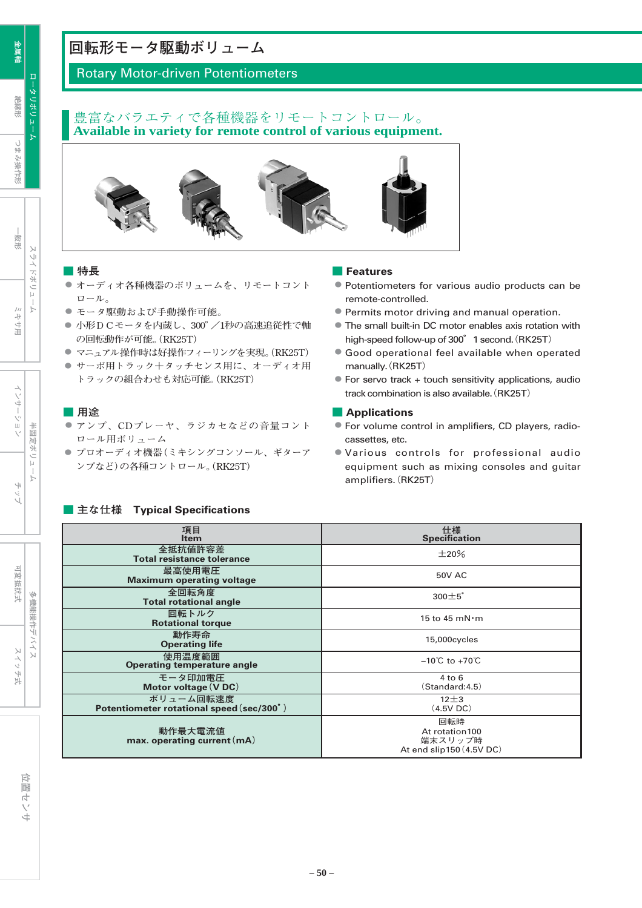# **回転形モータ駆動ボリューム**

## Rotary Motor-driven Potentiometers

#### 豊富なバラエティで各種機器をリモートコントロール。 **Available in variety for remote control of various equipment.**



#### **■ 特長**

- **● オーディオ各種機器のボリュームを、リモートコント ロール。**
- **● モータ駆動および手動操作可能。**
- 小形DCモータを内蔵し、300°/1秒の高速追従性で軸 **の回転動作が可能。(RK25T)**
- **● マニュアル操作時は好操作フィーリングを実現。(RK25T)**
- サーボ用トラック十タッチセンス用に、オーディオ用 **トラックの組合わせも対応可能。(RK25T)**

#### **■ 用途**

- **● アンプ、CDプレーヤ、ラジカセなどの音量コント ロール用ボリューム**
- **● プロオーディオ機器(ミキシングコンソール、ギターア ンプなど)の各種コントロール。(RK25T)**

#### **■ 主な仕様 Typical Specifications**

#### **■ Features**

- Potentiometers for various audio products can be remote-controlled.
- Permits motor driving and manual operation.
- The small built-in DC motor enables axis rotation with high-speed follow-up of 300° 1 second. (RK25T)
- Good operational feel available when operated manually.(RK25T)
- $\bullet$  For servo track + touch sensitivity applications, audio track combination is also available.(RK25T)

#### **■ Applications**

- For volume control in amplifiers, CD players, radiocassettes, etc.
- Various controls for professional audio equipment such as mixing consoles and guitar amplifiers.(RK25T)

| 項目<br><b>Item</b>                                      | 仕様<br>Specification                                          |
|--------------------------------------------------------|--------------------------------------------------------------|
| 全抵抗值許容差<br><b>Total resistance tolerance</b>           | $\pm 20\%$                                                   |
| 最高使用電圧<br><b>Maximum operating voltage</b>             | <b>50V AC</b>                                                |
| 全回転角度<br><b>Total rotational angle</b>                 | $300 \pm 5^\circ$                                            |
| 回転トルク<br><b>Rotational torque</b>                      | 15 to 45 mN $\cdot$ m                                        |
| 動作寿命<br><b>Operating life</b>                          | 15,000cycles                                                 |
| 使用温度範囲<br><b>Operating temperature angle</b>           | $-10^{\circ}$ C to $+70^{\circ}$ C                           |
| モータ印加電圧<br>Motor voltage (V DC)                        | $4$ to $6$<br>$\left( \mathsf{Standard:4.5}\right)$          |
| ボリューム回転速度<br>Potentiometer rotational speed (sec/300°) | $12 + 3$<br>(4.5V)                                           |
| 動作最大電流値<br>max. operating current $(mA)$               | 回転時<br>At rotation100<br>端末スリップ時<br>At end slip150 (4.5V DC) |

**絶縁形**

**つまみ操作形** 

つまみ操作形

スリ

ドボリュ

 $\overline{b}$ 

半固定ボリュー

位置センサ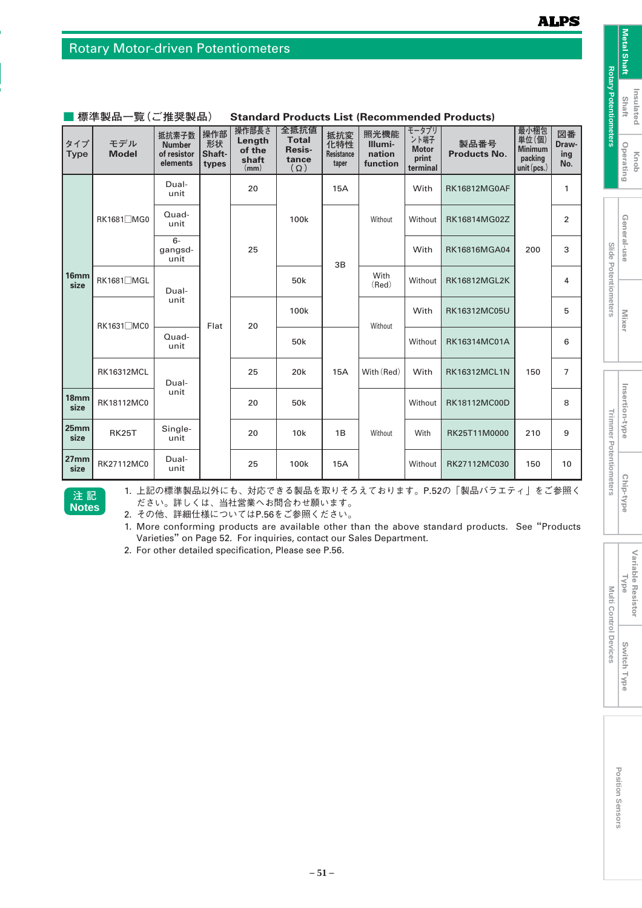|                          | ำホ៶╤╤┹Ҝӹӹ           | ᆇ \ㄴ ;ㄸㅅ = x HH /                                 |                              |                                            |                                                       |                                          | <b>EBC (ROODININGRAGA LIGAGOLS)</b>   |                                                    |                             |                                                          |                           |
|--------------------------|---------------------|---------------------------------------------------|------------------------------|--------------------------------------------|-------------------------------------------------------|------------------------------------------|---------------------------------------|----------------------------------------------------|-----------------------------|----------------------------------------------------------|---------------------------|
| タイプ<br><b>Type</b>       | モデル<br><b>Model</b> | 抵抗素子数<br><b>Number</b><br>of resistor<br>elements | 操作部<br>形状<br>Shaft-<br>types | 操作部長さ<br>Length<br>of the<br>shaft<br>(mm) | 全抵抗値<br><b>Total</b><br>Resis-<br>tance<br>$(\Omega)$ | 抵抗変<br>化特性<br><b>Resistance</b><br>taper | 照光機能<br>Illumi-<br>nation<br>function | モータプリ<br>ント端子<br><b>Motor</b><br>print<br>terminal | 製品番号<br><b>Products No.</b> | 最小梱包<br>単位(個)<br><b>Minimum</b><br>packing<br>unit(pcs.) | 図番<br>Draw-<br>ing<br>No. |
|                          |                     | Dual-<br>unit                                     |                              | 20                                         |                                                       | <b>15A</b>                               |                                       | With                                               | <b>RK16812MG0AF</b>         |                                                          | 1                         |
|                          | RK1681□MG0          | Quad-<br>unit                                     |                              |                                            | 100k                                                  |                                          | Without                               | Without                                            | RK16814MG02Z                |                                                          | $\overline{2}$            |
|                          |                     | $6-$<br>gangsd-<br>unit                           |                              | 25                                         |                                                       | 3B                                       |                                       | With                                               | RK16816MGA04                | 200                                                      | 3                         |
| 16 <sub>mm</sub><br>size | RK1681□MGL          | Dual-                                             |                              | 50 <sub>k</sub>                            |                                                       | With<br>(Red)                            | Without                               | <b>RK16812MGL2K</b>                                |                             | 4                                                        |                           |
|                          | RK1631□MC0          | unit                                              |                              | 20<br>Flat                                 | 100k                                                  |                                          | Without                               | With                                               | RK16312MC05U                |                                                          | 5                         |
|                          |                     | Quad-<br>unit                                     |                              |                                            | 50 <sub>k</sub>                                       |                                          |                                       | Without                                            | RK16314MC01A                |                                                          | 6                         |
|                          | <b>RK16312MCL</b>   | Dual-                                             |                              | 25                                         | 20 <sub>k</sub>                                       | 15A                                      | With (Red)                            | With                                               | <b>RK16312MCL1N</b>         | 150                                                      | $\overline{7}$            |
| 18 <sub>mm</sub><br>size | RK18112MC0          | unit                                              |                              | 20                                         | 50 <sub>k</sub>                                       |                                          |                                       | Without                                            | RK18112MC00D                |                                                          | 8                         |
| 25mm<br>size             | <b>RK25T</b>        | Single-<br>unit                                   |                              | 20                                         | 10k                                                   | 1B                                       | Without                               | With                                               | RK25T11M0000                | 210                                                      | 9                         |
| 27 <sub>mm</sub><br>size | RK27112MC0          | Dual-<br>unit                                     |                              | 25                                         | 100k                                                  | <b>15A</b>                               |                                       | Without                                            | RK27112MC030                | 150                                                      | 10                        |

#### **■ 標準製品一覧(ご推奨製品) Standard Products List (Recommended Products)**

**Notes 注 記**  1. 上記の標準製品以外にも、対応できる製品を取りそろえております。P.52の「製品バラエティ」をご参照く ださい。詳しくは、当社営業へお問合わせ願います。

2. その他、詳細仕様についてはP.56をご参照ください。

1. More conforming products are available other than the above standard products. See"Products Varieties"on Page 52. For inquiries, contact our Sales Department.

2. For other detailed specification, Please see P.56.

**Mixer**

**Slide Potentiometers**

Slide Potentiometers

**Rotary Potentiometers**

**Rotary Potentiometers** 

**Metal Shaft**

Metal Shaft

**Insulated Insulated**<br>Shaft

**Knob Operating**

Operating

General-use

**Variable Resistor Variable Resistor**<br>Type

**Multi Control Devices**

Multi Control Devices

**Switch Type**

Switch Type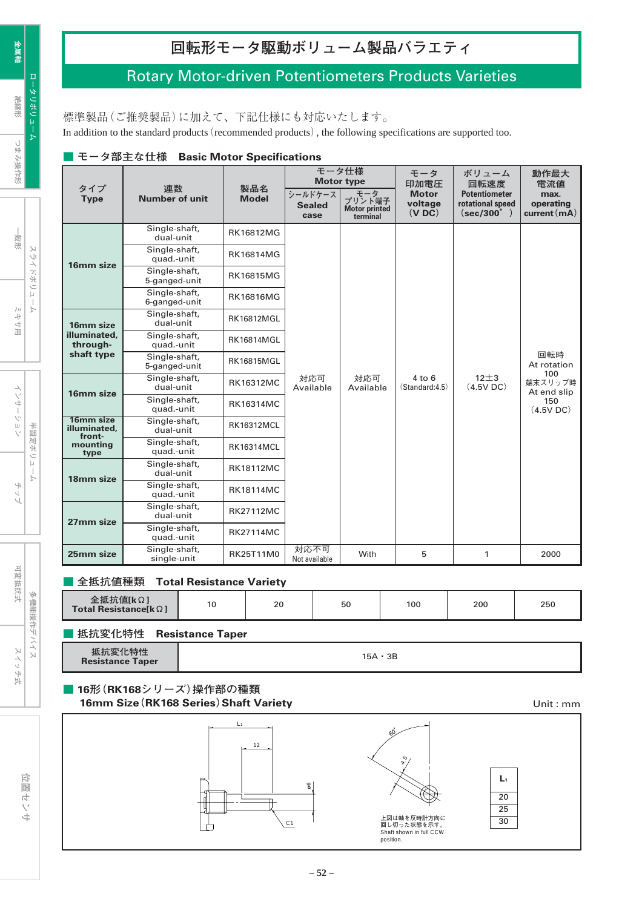# Rotary Motor-driven Potentiometers Products Varieties

標準製品(ご推奨製品)に加えて、下記仕様にも対応いたします。

In addition to the standard products (recommended products), the following specifications are supported too.

|  | ▲モータ部主な仕様 Basic Motor Specifications |
|--|--------------------------------------|
|--|--------------------------------------|

|                                     |                                |                     |                                  | モータ仕様<br><b>Motor type</b>                        | モータ<br>印加電圧                      | ボリューム<br>回転速度                                                  | 動作最大<br>電流値                      |  |  |                  |                              |                          |                               |
|-------------------------------------|--------------------------------|---------------------|----------------------------------|---------------------------------------------------|----------------------------------|----------------------------------------------------------------|----------------------------------|--|--|------------------|------------------------------|--------------------------|-------------------------------|
| タイプ<br><b>Type</b>                  | 連数<br><b>Number of unit</b>    | 製品名<br><b>Model</b> | シールドケース<br><b>Sealed</b><br>case | モータ<br>プリント端子<br><b>Motor printed</b><br>terminal | <b>Motor</b><br>voltage<br>(VDC) | <b>Potentiometer</b><br>rotational speed<br>$(\sec/300^\circ)$ | max.<br>operating<br>current(mA) |  |  |                  |                              |                          |                               |
|                                     | Single-shaft,<br>dual-unit     | <b>RK16812MG</b>    |                                  |                                                   |                                  |                                                                |                                  |  |  |                  |                              |                          |                               |
| 16mm size                           | Single-shaft,<br>quad.-unit    | <b>RK16814MG</b>    |                                  |                                                   |                                  |                                                                |                                  |  |  |                  |                              |                          |                               |
|                                     | Single-shaft,<br>5-ganged-unit | <b>RK16815MG</b>    |                                  |                                                   |                                  |                                                                | 回転時<br>At rotation               |  |  |                  |                              |                          |                               |
|                                     | Single-shaft,<br>6-ganged-unit | <b>RK16816MG</b>    |                                  |                                                   |                                  |                                                                |                                  |  |  |                  |                              |                          |                               |
| 16mm size                           | Single-shaft,<br>dual-unit     | <b>RK16812MGL</b>   |                                  |                                                   |                                  |                                                                |                                  |  |  |                  |                              |                          |                               |
| illuminated.<br>through-            | Single-shaft,<br>quad.-unit    | <b>RK16814MGL</b>   |                                  |                                                   |                                  |                                                                |                                  |  |  |                  |                              |                          |                               |
| shaft type                          | Single-shaft,<br>5-ganged-unit | <b>RK16815MGL</b>   |                                  |                                                   |                                  |                                                                |                                  |  |  |                  |                              |                          |                               |
| 16mm size                           | Single-shaft,<br>dual-unit     | <b>RK16312MC</b>    | 対応可<br>Available                 |                                                   |                                  |                                                                |                                  |  |  | 対応可<br>Available | $4$ to $6$<br>(Standard:4.5) | $12\pm3$<br>$(4.5V)$ DC) | 100<br>端末スリップ時<br>At end slip |
|                                     | Single-shaft,<br>quad.-unit    | <b>RK16314MC</b>    |                                  |                                                   |                                  |                                                                | 150<br>(4.5V)                    |  |  |                  |                              |                          |                               |
| 16mm size<br>illuminated.<br>front- | Single-shaft,<br>dual-unit     | <b>RK16312MCL</b>   |                                  |                                                   |                                  |                                                                |                                  |  |  |                  |                              |                          |                               |
| mounting<br>type                    | Single-shaft,<br>quad.-unit    | <b>RK16314MCL</b>   |                                  |                                                   |                                  |                                                                |                                  |  |  |                  |                              |                          |                               |
| 18mm size                           | Single-shaft,<br>dual-unit     | <b>RK18112MC</b>    |                                  |                                                   |                                  |                                                                |                                  |  |  |                  |                              |                          |                               |
|                                     | Single-shaft,<br>quad.-unit    | <b>RK18114MC</b>    |                                  |                                                   |                                  |                                                                |                                  |  |  |                  |                              |                          |                               |
|                                     | Single-shaft,<br>dual-unit     | <b>RK27112MC</b>    |                                  |                                                   |                                  |                                                                |                                  |  |  |                  |                              |                          |                               |
| 27mm size                           | Single-shaft,<br>quad.-unit    | <b>RK27114MC</b>    |                                  |                                                   |                                  |                                                                |                                  |  |  |                  |                              |                          |                               |
| 25mm size                           | Single-shaft,<br>single-unit   | RK25T11M0           | 対応不可<br>Not available            | With                                              | 5                                | $\mathbf{1}$                                                   | 2000                             |  |  |                  |                              |                          |                               |

### **■ 全抵抗値種類 Total Resistance Variety**

|  | 全抵抗値[kΩ]<br>Total Resistance[ $\mathbf{k} \Omega$ ] |  | 20 | 50 | 100 | 200 | 250 |
|--|-----------------------------------------------------|--|----|----|-----|-----|-----|
|--|-----------------------------------------------------|--|----|----|-----|-----|-----|

#### **■ 抵抗変化特性 Resistance Taper**

| $11.4 + 14$<br>抵抗変<br><b>Resistance Taper</b> | 15A • 3B |
|-----------------------------------------------|----------|
|-----------------------------------------------|----------|

### **■ 16形(RK168シリーズ)操作部の種類 16mm Size(RK168 Series)Shaft Variety** Unit : mm



**金属軸**

**ロータリボリューム**

スライドボリューム

可変抵抗式

スイッチ式

多機能操作デバイス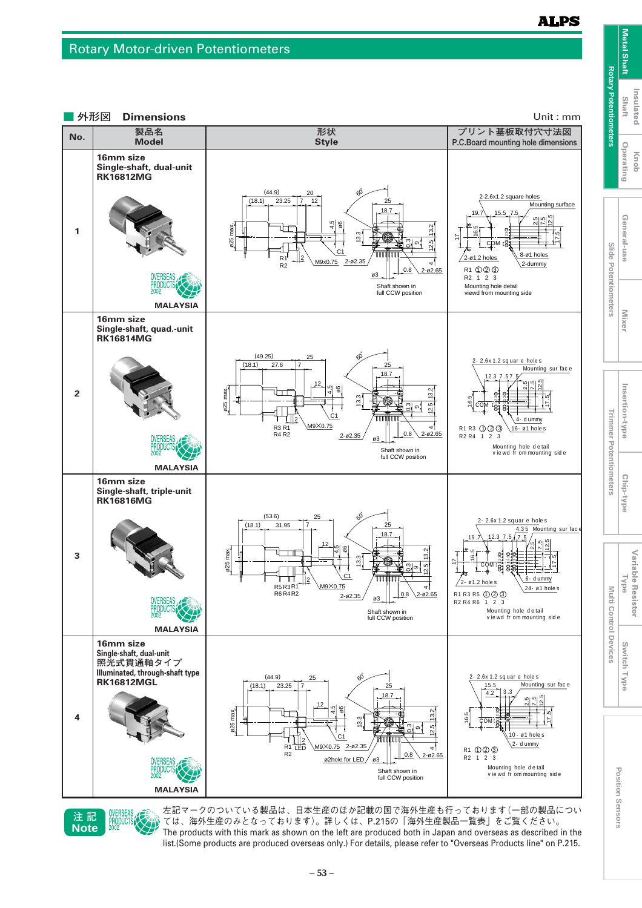#### **ALPS**





**注 記** 左記マークのついている製品は、日本生産のほか記載の国で海外生産も行っております(一部の製品につい ては、海外生産のみとなっております)。詳しくは、P.215の「海外生産製品一覧表」をご覧ください。 The products with this mark as shown on the left are produced both in Japan and overseas as described in the list.(Some products are produced overseas only.) For details, please refer to "Overseas Products line" on P.215.

**Trimmer Potentiometers**

**Multi Control Devices**

**Switch Type**

Switch Type

**Variable Resistor Variable Resistor**<br>Type

**Mixer**

**Metal Shaft**

**Metal Shaft** 

**Insulated Shaft**

Insulated

**Knob Operating**

Operating

General-use

**Slide Potentiometers**

**Insertion-type**

Insertion-type

Chip-type

**Chip-type Beneral-user Mixer II Insertion-type I Chip-type**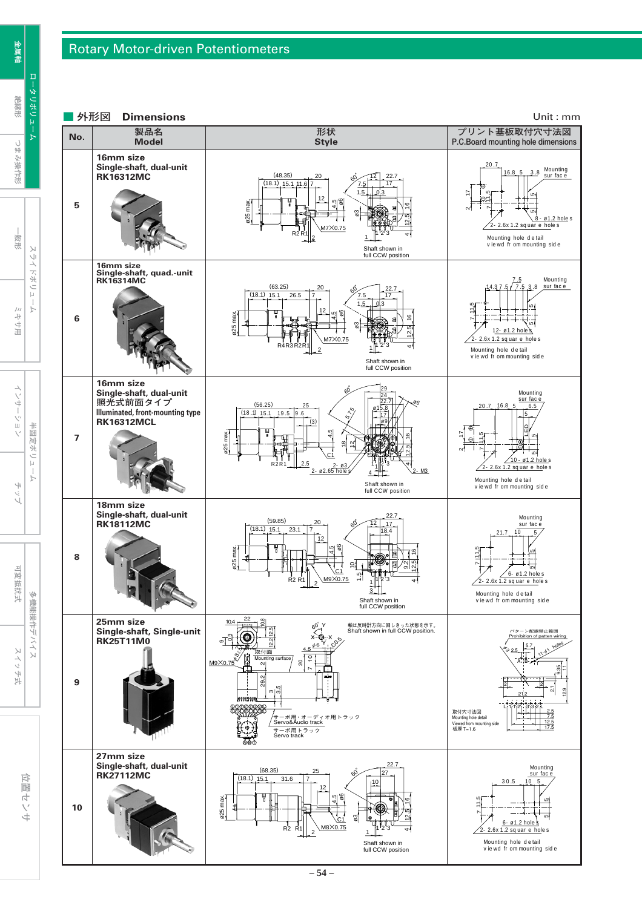#### Rotary Motor-driven Potentiometers

**金属軸** ロータリボリュ **絶縁形**

ミキサ用